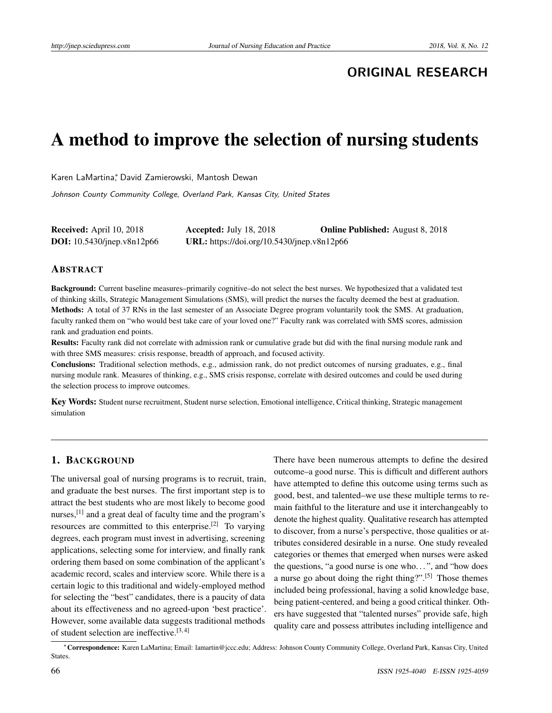## **ORIGINAL RESEARCH**

# A method to improve the selection of nursing students

Karen LaMartina<sup>∗</sup> , David Zamierowski, Mantosh Dewan

Johnson County Community College, Overland Park, Kansas City, United States

| <b>Received:</b> April 10, 2018   | <b>Accepted:</b> July 18, 2018             | <b>Online Published:</b> August 8, 2018 |
|-----------------------------------|--------------------------------------------|-----------------------------------------|
| <b>DOI:</b> 10.5430/jnep.v8n12p66 | URL: https://doi.org/10.5430/jnep.v8n12p66 |                                         |

#### ABSTRACT

Background: Current baseline measures–primarily cognitive–do not select the best nurses. We hypothesized that a validated test of thinking skills, Strategic Management Simulations (SMS), will predict the nurses the faculty deemed the best at graduation. Methods: A total of 37 RNs in the last semester of an Associate Degree program voluntarily took the SMS. At graduation, faculty ranked them on "who would best take care of your loved one?" Faculty rank was correlated with SMS scores, admission rank and graduation end points.

Results: Faculty rank did not correlate with admission rank or cumulative grade but did with the final nursing module rank and with three SMS measures: crisis response, breadth of approach, and focused activity.

Conclusions: Traditional selection methods, e.g., admission rank, do not predict outcomes of nursing graduates, e.g., final nursing module rank. Measures of thinking, e.g., SMS crisis response, correlate with desired outcomes and could be used during the selection process to improve outcomes.

Key Words: Student nurse recruitment, Student nurse selection, Emotional intelligence, Critical thinking, Strategic management simulation

## 1. BACKGROUND

The universal goal of nursing programs is to recruit, train, and graduate the best nurses. The first important step is to attract the best students who are most likely to become good nurses,<sup>[\[1\]](#page-3-0)</sup> and a great deal of faculty time and the program's resources are committed to this enterprise.[\[2\]](#page-3-1) To varying degrees, each program must invest in advertising, screening applications, selecting some for interview, and finally rank ordering them based on some combination of the applicant's academic record, scales and interview score. While there is a certain logic to this traditional and widely-employed method for selecting the "best" candidates, there is a paucity of data about its effectiveness and no agreed-upon 'best practice'. However, some available data suggests traditional methods of student selection are ineffective.<sup>[\[3,](#page-3-2)[4\]](#page-3-3)</sup>

There have been numerous attempts to define the desired outcome–a good nurse. This is difficult and different authors have attempted to define this outcome using terms such as good, best, and talented–we use these multiple terms to remain faithful to the literature and use it interchangeably to denote the highest quality. Qualitative research has attempted to discover, from a nurse's perspective, those qualities or attributes considered desirable in a nurse. One study revealed categories or themes that emerged when nurses were asked the questions, "a good nurse is one who. . . ", and "how does a nurse go about doing the right thing?".[\[5\]](#page-3-4) Those themes included being professional, having a solid knowledge base, being patient-centered, and being a good critical thinker. Others have suggested that "talented nurses" provide safe, high quality care and possess attributes including intelligence and

<sup>∗</sup>Correspondence: Karen LaMartina; Email: lamartin@jccc.edu; Address: Johnson County Community College, Overland Park, Kansas City, United States.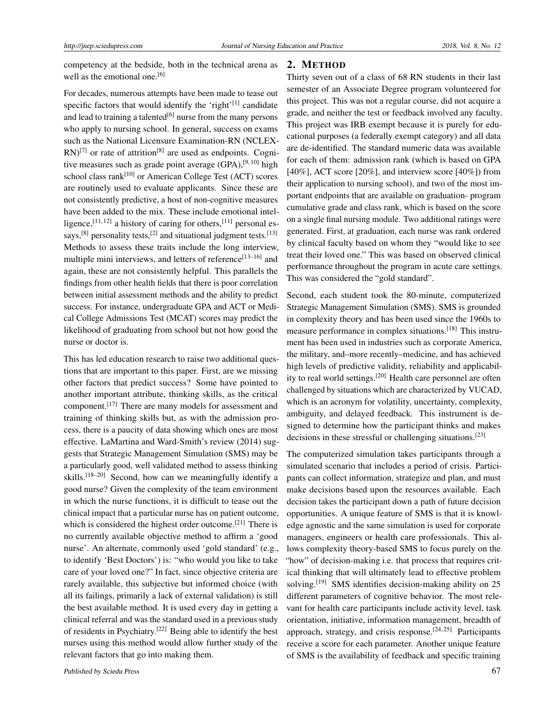competency at the bedside, both in the technical arena as well as the emotional one.<sup>[\[6\]](#page-3-5)</sup>

For decades, numerous attempts have been made to tease out specific factors that would identify the 'right'<sup>[\[1\]](#page-3-0)</sup> candidate and lead to training a talented $[6]$  nurse from the many persons who apply to nursing school. In general, success on exams such as the National Licensure Examination-RN (NCLEX- $RN$ <sup>[\[7\]](#page-3-6)</sup> or rate of attrition<sup>[\[8\]](#page-4-0)</sup> are used as endpoints. Cognitive measures such as grade point average  $(GPA)$ , [\[9,](#page-4-1) [10\]](#page-4-2) high school class rank<sup>[\[10\]](#page-4-2)</sup> or American College Test (ACT) scores are routinely used to evaluate applicants. Since these are not consistently predictive, a host of non-cognitive measures have been added to the mix. These include emotional intel-ligence,<sup>[\[11,](#page-4-3)[12\]](#page-4-4)</sup> a history of caring for others,<sup>[\[11\]](#page-4-3)</sup> personal es-says,<sup>[\[8\]](#page-4-0)</sup> personality tests,<sup>[\[2\]](#page-3-1)</sup> and situational judgment tests.<sup>[\[13\]](#page-4-5)</sup> Methods to assess these traits include the long interview, multiple mini interviews, and letters of reference<sup>[\[13](#page-4-5)-16]</sup> and again, these are not consistently helpful. This parallels the findings from other health fields that there is poor correlation between initial assessment methods and the ability to predict success. For instance, undergraduate GPA and ACT or Medical College Admissions Test (MCAT) scores may predict the likelihood of graduating from school but not how good the nurse or doctor is.

This has led education research to raise two additional questions that are important to this paper. First, are we missing other factors that predict success? Some have pointed to another important attribute, thinking skills, as the critical component.[\[17\]](#page-4-7) There are many models for assessment and training of thinking skills but, as with the admission process, there is a paucity of data showing which ones are most effective. LaMartina and Ward-Smith's review (2014) suggests that Strategic Management Simulation (SMS) may be a particularly good, well validated method to assess thinking skills.<sup>[\[18–](#page-4-8)[20\]](#page-4-9)</sup> Second, how can we meaningfully identify a good nurse? Given the complexity of the team environment in which the nurse functions, it is difficult to tease out the clinical impact that a particular nurse has on patient outcome, which is considered the highest order outcome.<sup>[\[21\]](#page-4-10)</sup> There is no currently available objective method to affirm a 'good nurse'. An alternate, commonly used 'gold standard' (e.g., to identify 'Best Doctors') is: "who would you like to take care of your loved one?" In fact, since objective criteria are rarely available, this subjective but informed choice (with all its failings, primarily a lack of external validation) is still the best available method. It is used every day in getting a clinical referral and was the standard used in a previous study of residents in Psychiatry.[\[22\]](#page-4-11) Being able to identify the best nurses using this method would allow further study of the relevant factors that go into making them.

## 2. METHOD

Thirty seven out of a class of 68 RN students in their last semester of an Associate Degree program volunteered for this project. This was not a regular course, did not acquire a grade, and neither the test or feedback involved any faculty. This project was IRB exempt because it is purely for educational purposes (a federally exempt category) and all data are de-identified. The standard numeric data was available for each of them: admission rank (which is based on GPA  $[40\%]$ , ACT score  $[20\%]$ , and interview score  $[40\%]$  from their application to nursing school), and two of the most important endpoints that are available on graduation- program cumulative grade and class rank, which is based on the score on a single final nursing module. Two additional ratings were generated. First, at graduation, each nurse was rank ordered by clinical faculty based on whom they "would like to see treat their loved one." This was based on observed clinical performance throughout the program in acute care settings. This was considered the "gold standard".

Second, each student took the 80-minute, computerized Strategic Management Simulation (SMS). SMS is grounded in complexity theory and has been used since the 1960s to measure performance in complex situations.<sup>[\[18\]](#page-4-8)</sup> This instrument has been used in industries such as corporate America, the military, and–more recently–medicine, and has achieved high levels of predictive validity, reliability and applicabil-ity to real world settings.<sup>[\[20\]](#page-4-9)</sup> Health care personnel are often challenged by situations which are characterized by VUCAD, which is an acronym for volatility, uncertainty, complexity, ambiguity, and delayed feedback. This instrument is designed to determine how the participant thinks and makes decisions in these stressful or challenging situations.[\[23\]](#page-4-12)

The computerized simulation takes participants through a simulated scenario that includes a period of crisis. Participants can collect information, strategize and plan, and must make decisions based upon the resources available. Each decision takes the participant down a path of future decision opportunities. A unique feature of SMS is that it is knowledge agnostic and the same simulation is used for corporate managers, engineers or health care professionals. This allows complexity theory-based SMS to focus purely on the "how" of decision-making i.e. that process that requires critical thinking that will ultimately lead to effective problem solving.<sup>[\[19\]](#page-4-13)</sup> SMS identifies decision-making ability on 25 different parameters of cognitive behavior. The most relevant for health care participants include activity level, task orientation, initiative, information management, breadth of approach, strategy, and crisis response.<sup>[\[24,](#page-4-14) [25\]](#page-4-15)</sup> Participants receive a score for each parameter. Another unique feature of SMS is the availability of feedback and specific training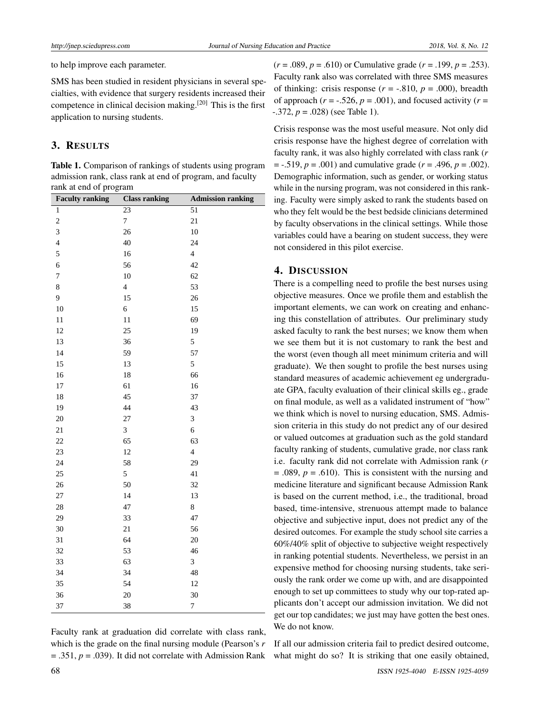to help improve each parameter.

SMS has been studied in resident physicians in several specialties, with evidence that surgery residents increased their competence in clinical decision making.[\[20\]](#page-4-9) This is the first application to nursing students.

## 3. RESULTS

Table 1. Comparison of rankings of students using program admission rank, class rank at end of program, and faculty rank at end of program

| <b>Faculty ranking</b> | <b>Class ranking</b> | <b>Admission ranking</b> |
|------------------------|----------------------|--------------------------|
| $\mathbf{1}$           | $\overline{23}$      | $\overline{51}$          |
| $\overline{c}$         | $\overline{7}$       | 21                       |
| 3                      | 26                   | 10                       |
| $\overline{4}$         | 40                   | 24                       |
| 5                      | 16                   | $\overline{4}$           |
| 6                      | 56                   | 42                       |
| $\overline{7}$         | $10\,$               | 62                       |
| 8                      | $\overline{4}$       | 53                       |
| 9                      | 15                   | 26                       |
| 10                     | 6                    | 15                       |
| 11                     | 11                   | 69                       |
| 12                     | 25                   | 19                       |
| 13                     | 36                   | 5                        |
| 14                     | 59                   | 57                       |
| 15                     | 13                   | 5                        |
| 16                     | 18                   | 66                       |
| $17\,$                 | 61                   | 16                       |
| 18                     | 45                   | 37                       |
| 19                     | 44                   | 43                       |
| 20                     | 27                   | 3                        |
| 21                     | 3                    | 6                        |
| 22                     | 65                   | 63                       |
| 23                     | 12                   | $\overline{4}$           |
| 24                     | 58                   | 29                       |
| 25                     | 5                    | 41                       |
| $26\,$                 | 50                   | 32                       |
| $27\,$                 | 14                   | 13                       |
| $28\,$                 | 47                   | 8                        |
| 29                     | 33                   | 47                       |
| 30                     | 21                   | 56                       |
| 31                     | 64                   | $20\,$                   |
| 32                     | 53                   | 46                       |
| 33                     | 63                   | 3                        |
| 34                     | 34                   | 48                       |
| 35                     | 54                   | 12                       |
| 36                     | 20                   | 30                       |
| 37                     | 38                   | $\sqrt{ }$               |

Faculty rank at graduation did correlate with class rank, which is the grade on the final nursing module (Pearson's *r*  $= .351, p = .039$ . It did not correlate with Admission Rank

(*r* = .089, *p* = .610) or Cumulative grade (*r* = .199, *p* = .253). Faculty rank also was correlated with three SMS measures of thinking: crisis response  $(r = -.810, p = .000)$ , breadth of approach ( $r = -.526$ ,  $p = .001$ ), and focused activity ( $r =$  $-0.372, p = 0.028$  (see Table 1).

Crisis response was the most useful measure. Not only did crisis response have the highest degree of correlation with faculty rank, it was also highly correlated with class rank (*r* = -.519, *p* = .001) and cumulative grade (*r* = .496, *p* = .002). Demographic information, such as gender, or working status while in the nursing program, was not considered in this ranking. Faculty were simply asked to rank the students based on who they felt would be the best bedside clinicians determined by faculty observations in the clinical settings. While those variables could have a bearing on student success, they were not considered in this pilot exercise.

### 4. DISCUSSION

There is a compelling need to profile the best nurses using objective measures. Once we profile them and establish the important elements, we can work on creating and enhancing this constellation of attributes. Our preliminary study asked faculty to rank the best nurses; we know them when we see them but it is not customary to rank the best and the worst (even though all meet minimum criteria and will graduate). We then sought to profile the best nurses using standard measures of academic achievement eg undergraduate GPA, faculty evaluation of their clinical skills eg., grade on final module, as well as a validated instrument of "how" we think which is novel to nursing education, SMS. Admission criteria in this study do not predict any of our desired or valued outcomes at graduation such as the gold standard faculty ranking of students, cumulative grade, nor class rank i.e. faculty rank did not correlate with Admission rank (*r*  $= .089, p = .610$ . This is consistent with the nursing and medicine literature and significant because Admission Rank is based on the current method, i.e., the traditional, broad based, time-intensive, strenuous attempt made to balance objective and subjective input, does not predict any of the desired outcomes. For example the study school site carries a 60%/40% split of objective to subjective weight respectively in ranking potential students. Nevertheless, we persist in an expensive method for choosing nursing students, take seriously the rank order we come up with, and are disappointed enough to set up committees to study why our top-rated applicants don't accept our admission invitation. We did not get our top candidates; we just may have gotten the best ones. We do not know.

If all our admission criteria fail to predict desired outcome, what might do so? It is striking that one easily obtained,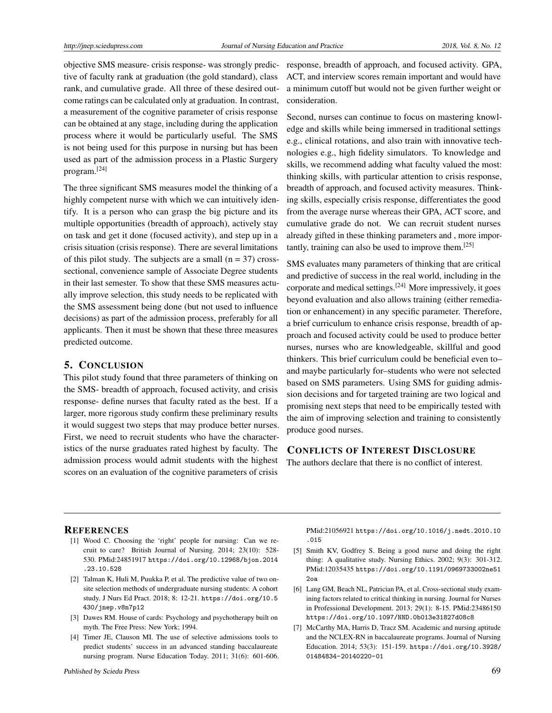objective SMS measure- crisis response- was strongly predictive of faculty rank at graduation (the gold standard), class rank, and cumulative grade. All three of these desired outcome ratings can be calculated only at graduation. In contrast, a measurement of the cognitive parameter of crisis response can be obtained at any stage, including during the application process where it would be particularly useful. The SMS is not being used for this purpose in nursing but has been used as part of the admission process in a Plastic Surgery program.[\[24\]](#page-4-14)

The three significant SMS measures model the thinking of a highly competent nurse with which we can intuitively identify. It is a person who can grasp the big picture and its multiple opportunities (breadth of approach), actively stay on task and get it done (focused activity), and step up in a crisis situation (crisis response). There are several limitations of this pilot study. The subjects are a small  $(n = 37)$  crosssectional, convenience sample of Associate Degree students in their last semester. To show that these SMS measures actually improve selection, this study needs to be replicated with the SMS assessment being done (but not used to influence decisions) as part of the admission process, preferably for all applicants. Then it must be shown that these three measures predicted outcome.

## 5. CONCLUSION

This pilot study found that three parameters of thinking on the SMS- breadth of approach, focused activity, and crisis response- define nurses that faculty rated as the best. If a larger, more rigorous study confirm these preliminary results it would suggest two steps that may produce better nurses. First, we need to recruit students who have the characteristics of the nurse graduates rated highest by faculty. The admission process would admit students with the highest scores on an evaluation of the cognitive parameters of crisis

response, breadth of approach, and focused activity. GPA, ACT, and interview scores remain important and would have a minimum cutoff but would not be given further weight or consideration.

Second, nurses can continue to focus on mastering knowledge and skills while being immersed in traditional settings e.g., clinical rotations, and also train with innovative technologies e.g., high fidelity simulators. To knowledge and skills, we recommend adding what faculty valued the most: thinking skills, with particular attention to crisis response, breadth of approach, and focused activity measures. Thinking skills, especially crisis response, differentiates the good from the average nurse whereas their GPA, ACT score, and cumulative grade do not. We can recruit student nurses already gifted in these thinking parameters and , more importantly, training can also be used to improve them.[\[25\]](#page-4-15)

SMS evaluates many parameters of thinking that are critical and predictive of success in the real world, including in the corporate and medical settings.[\[24\]](#page-4-14) More impressively, it goes beyond evaluation and also allows training (either remediation or enhancement) in any specific parameter. Therefore, a brief curriculum to enhance crisis response, breadth of approach and focused activity could be used to produce better nurses, nurses who are knowledgeable, skillful and good thinkers. This brief curriculum could be beneficial even to– and maybe particularly for–students who were not selected based on SMS parameters. Using SMS for guiding admission decisions and for targeted training are two logical and promising next steps that need to be empirically tested with the aim of improving selection and training to consistently produce good nurses.

## CONFLICTS OF INTEREST DISCLOSURE

The authors declare that there is no conflict of interest.

#### **REFERENCES**

- <span id="page-3-0"></span>[1] Wood C. Choosing the 'right' people for nursing: Can we recruit to care? British Journal of Nursing. 2014; 23(10): 528- 530. PMid:24851917 [https://doi.org/10.12968/bjon.2014](https://doi.org/10.12968/bjon.2014.23.10.528) [.23.10.528](https://doi.org/10.12968/bjon.2014.23.10.528)
- <span id="page-3-1"></span>[2] Talman K, Huli M, Puukka P, et al. The predictive value of two onsite selection methods of undergraduate nursing students: A cohort study. J Nurs Ed Pract. 2018; 8: 12-21. [https://doi.org/10.5](https://doi.org/10.5430/jnep.v8n7p12) [430/jnep.v8n7p12](https://doi.org/10.5430/jnep.v8n7p12)
- <span id="page-3-2"></span>[3] Dawes RM. House of cards: Psychology and psychotherapy built on myth. The Free Press: New York; 1994.
- <span id="page-3-3"></span>[4] Timer JE, Clauson MI. The use of selective admissions tools to predict students' success in an advanced standing baccalaureate nursing program. Nurse Education Today. 2011; 31(6): 601-606.

PMid:21056921 [https://doi.org/10.1016/j.nedt.2010.10](https://doi.org/10.1016/j.nedt.2010.10.015) [.015](https://doi.org/10.1016/j.nedt.2010.10.015)

- <span id="page-3-4"></span>[5] Smith KV, Godfrey S. Being a good nurse and doing the right thing: A qualitative study. Nursing Ethics. 2002; 9(3): 301-312. PMid:12035435 [https://doi.org/10.1191/0969733002ne51](https://doi.org/10.1191/0969733002ne512oa) [2oa](https://doi.org/10.1191/0969733002ne512oa)
- <span id="page-3-5"></span>[6] Lang GM, Beach NL, Patrician PA, et al. Cross-sectional study examining factors related to critical thinking in nursing. Journal for Nurses in Professional Development. 2013; 29(1): 8-15. PMid:23486150 [https://doi.org/10.1097/NND.0b013e31827d08c8](https://doi.org/10.1097/NND.0b013e31827d08c8 )
- <span id="page-3-6"></span>[7] McCarthy MA, Harris D, Tracz SM. Academic and nursing aptitude and the NCLEX-RN in baccalaureate programs. Journal of Nursing Education. 2014; 53(3): 151-159. [https://doi.org/10.3928/](https://doi.org/10.3928/01484834-20140220-01) [01484834-20140220-01](https://doi.org/10.3928/01484834-20140220-01)